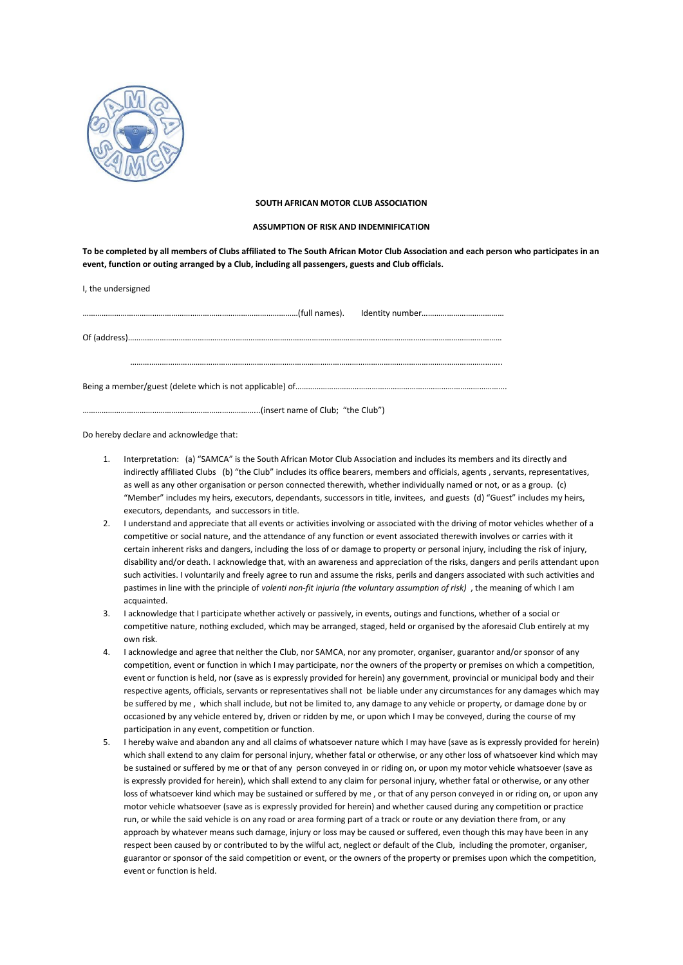

## **SOUTH AFRICAN MOTOR CLUB ASSOCIATION**

## **ASSUMPTION OF RISK AND INDEMNIFICATION**

**To be completed by all members of Clubs affiliated to The South African Motor Club Association and each person who participates in an event, function or outing arranged by a Club, including all passengers, guests and Club officials.**

| I, the undersigned |  |
|--------------------|--|
|                    |  |
|                    |  |
|                    |  |
|                    |  |

Do hereby declare and acknowledge that:

- 1. Interpretation: (a) "SAMCA" is the South African Motor Club Association and includes its members and its directly and indirectly affiliated Clubs (b) "the Club" includes its office bearers, members and officials, agents , servants, representatives, as well as any other organisation or person connected therewith, whether individually named or not, or as a group. (c) "Member" includes my heirs, executors, dependants, successors in title, invitees, and guests (d) "Guest" includes my heirs, executors, dependants, and successors in title.
- 2. I understand and appreciate that all events or activities involving or associated with the driving of motor vehicles whether of a competitive or social nature, and the attendance of any function or event associated therewith involves or carries with it certain inherent risks and dangers, including the loss of or damage to property or personal injury, including the risk of injury, disability and/or death. I acknowledge that, with an awareness and appreciation of the risks, dangers and perils attendant upon such activities. I voluntarily and freely agree to run and assume the risks, perils and dangers associated with such activities and pastimes in line with the principle of volenti non-fit injuria (the voluntary assumption of risk), the meaning of which I am acquainted.
- 3. I acknowledge that I participate whether actively or passively, in events, outings and functions, whether of a social or competitive nature, nothing excluded, which may be arranged, staged, held or organised by the aforesaid Club entirely at my own risk.
- 4. I acknowledge and agree that neither the Club, nor SAMCA, nor any promoter, organiser, guarantor and/or sponsor of any competition, event or function in which I may participate, nor the owners of the property or premises on which a competition, event or function is held, nor (save as is expressly provided for herein) any government, provincial or municipal body and their respective agents, officials, servants or representatives shall notbe liable under any circumstances for any damages which may be suffered by me , which shall include, but not be limited to, any damage to any vehicle or property, or damage done by or occasioned by any vehicle entered by, driven or ridden by me, or upon which I may be conveyed, during the course of my participation in any event, competition or function.
- 5. I hereby waive and abandon any and all claims of whatsoever nature which I may have (save as is expressly provided for herein) which shall extend to any claim for personal injury, whether fatal or otherwise, or any other loss of whatsoever kind which may be sustained or suffered by me or that of any person conveyed in or riding on, or upon my motor vehicle whatsoever (save as is expressly provided for herein), which shall extend to any claim for personal injury, whether fatal or otherwise, or any other loss of whatsoever kind which may be sustained or suffered by me , or that of any person conveyed in or riding on, or upon any motor vehicle whatsoever (save as is expressly provided for herein) and whether caused during any competition or practice run, or while the said vehicle is on any road or area forming part of a track or route or any deviation there from, or any approach by whatever means such damage, injury or loss may be caused or suffered, even though this may have been in any respect been caused by or contributed to by the wilful act, neglect or default of the Club, including the promoter, organiser, guarantor or sponsor of the said competition or event, or the owners of the property or premises upon which the competition, event or function is held.